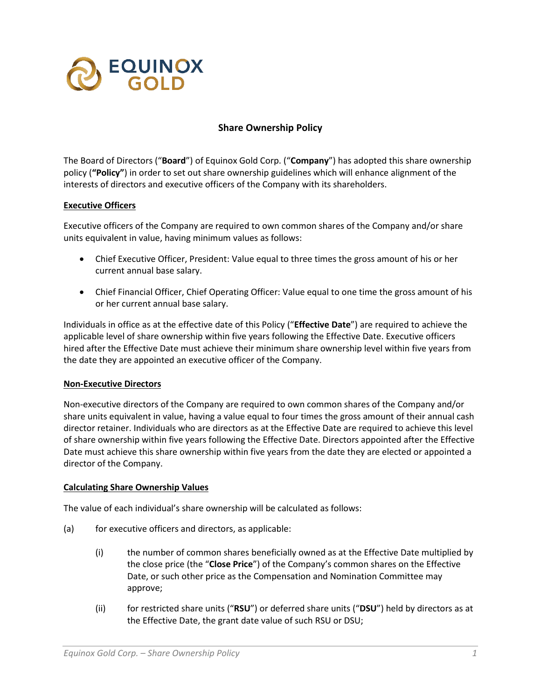

# **Share Ownership Policy**

The Board of Directors ("**Board**") of Equinox Gold Corp. ("**Company**") has adopted this share ownership policy (**"Policy"**) in order to set out share ownership guidelines which will enhance alignment of the interests of directors and executive officers of the Company with its shareholders.

### **Executive Officers**

Executive officers of the Company are required to own common shares of the Company and/or share units equivalent in value, having minimum values as follows:

- Chief Executive Officer, President: Value equal to three times the gross amount of his or her current annual base salary.
- Chief Financial Officer, Chief Operating Officer: Value equal to one time the gross amount of his or her current annual base salary.

Individuals in office as at the effective date of this Policy ("**Effective Date**") are required to achieve the applicable level of share ownership within five years following the Effective Date. Executive officers hired after the Effective Date must achieve their minimum share ownership level within five years from the date they are appointed an executive officer of the Company.

### **Non-Executive Directors**

Non-executive directors of the Company are required to own common shares of the Company and/or share units equivalent in value, having a value equal to four times the gross amount of their annual cash director retainer. Individuals who are directors as at the Effective Date are required to achieve this level of share ownership within five years following the Effective Date. Directors appointed after the Effective Date must achieve this share ownership within five years from the date they are elected or appointed a director of the Company.

### **Calculating Share Ownership Values**

The value of each individual's share ownership will be calculated as follows:

- (a) for executive officers and directors, as applicable:
	- (i) the number of common shares beneficially owned as at the Effective Date multiplied by the close price (the "**Close Price**") of the Company's common shares on the Effective Date, or such other price as the Compensation and Nomination Committee may approve;
	- (ii) for restricted share units ("**RSU**") or deferred share units ("**DSU**") held by directors as at the Effective Date, the grant date value of such RSU or DSU;